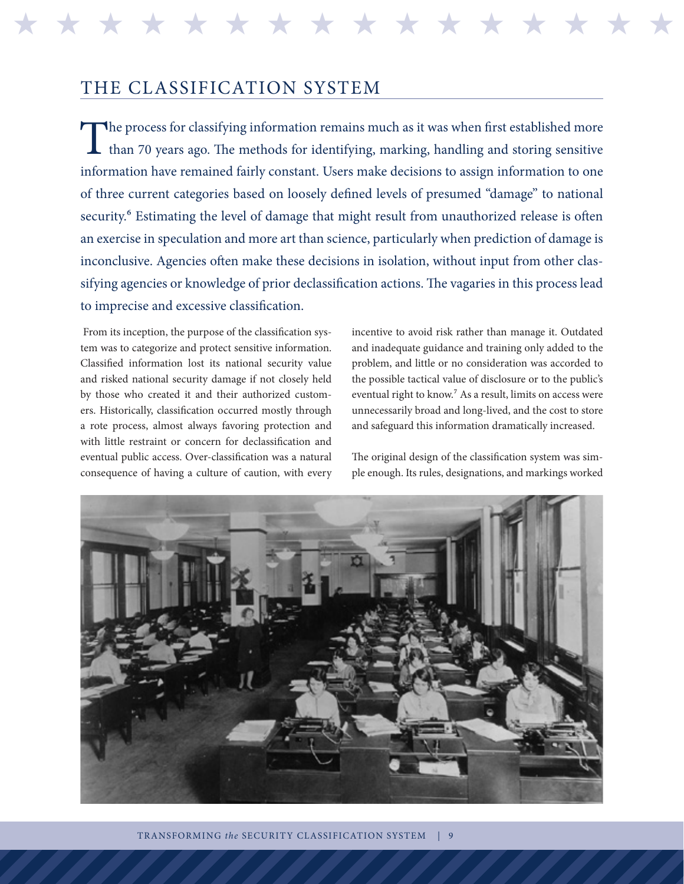THE CLASSIFICATION SYSTEM

The process for classifying information remains much as it was when first established more than 70 years ago. The methods for identifying, marking, handling and storing sensitive than 70 years ago. The methods for identifying, marking, handling and storing sensitive information have remained fairly constant. Users make decisions to assign information to one of three current categories based on loosely defined levels of presumed "damage" to national security.<sup>6</sup> Estimating the level of damage that might result from unauthorized release is often an exercise in speculation and more art than science, particularly when prediction of damage is inconclusive. Agencies often make these decisions in isolation, without input from other classifying agencies or knowledge of prior declassification actions. The vagaries in this process lead to imprecise and excessive classification.

H H H H H H H H H H H H H H H H H H H H H H H H H H H H H H H H

 From its inception, the purpose of the classification system was to categorize and protect sensitive information. Classified information lost its national security value and risked national security damage if not closely held by those who created it and their authorized customers. Historically, classification occurred mostly through a rote process, almost always favoring protection and with little restraint or concern for declassification and eventual public access. Over-classification was a natural consequence of having a culture of caution, with every incentive to avoid risk rather than manage it. Outdated and inadequate guidance and training only added to the problem, and little or no consideration was accorded to the possible tactical value of disclosure or to the public's eventual right to know.<sup>7</sup> As a result, limits on access were unnecessarily broad and long-lived, and the cost to store and safeguard this information dramatically increased.

The original design of the classification system was simple enough. Its rules, designations, and markings worked